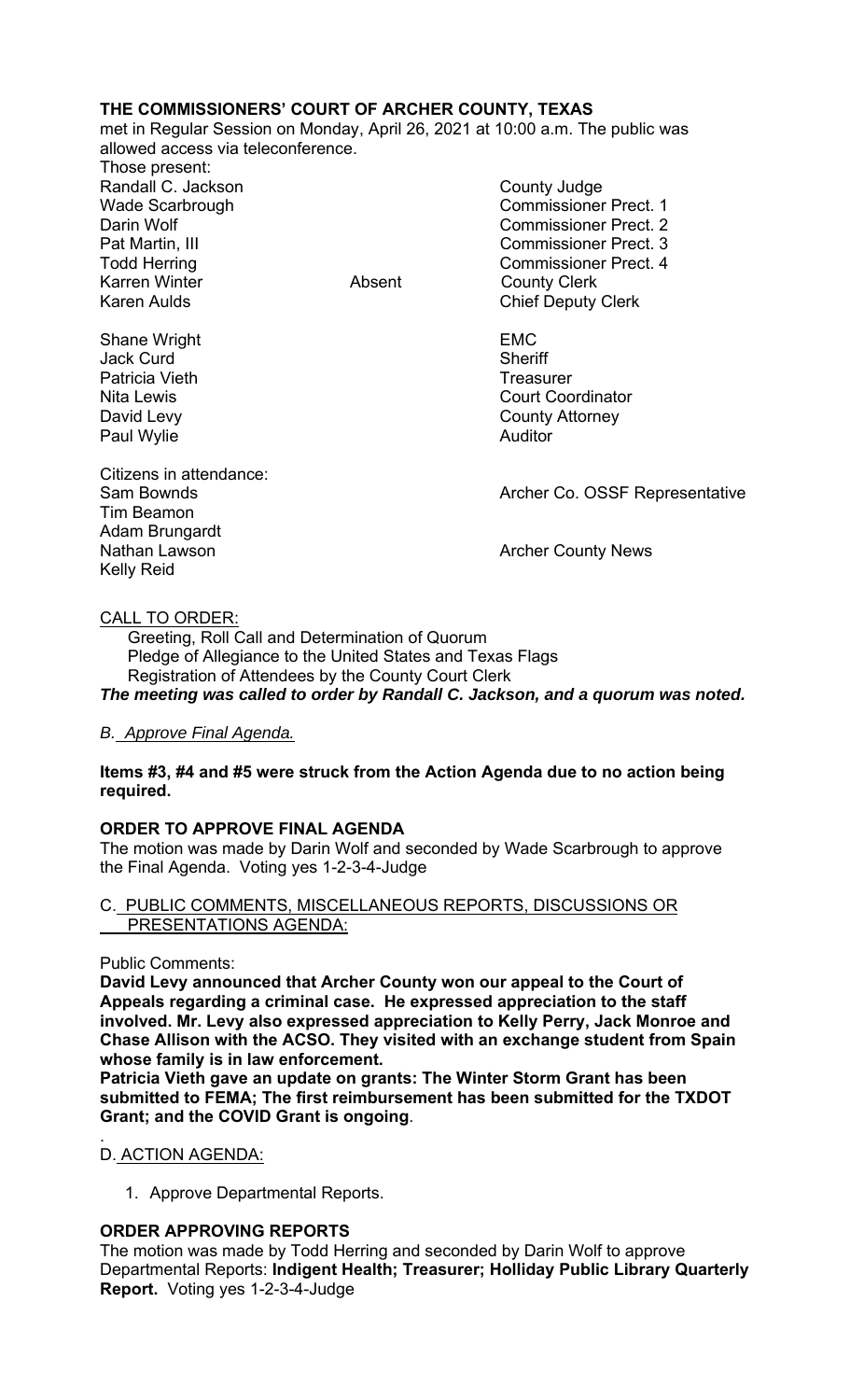# **THE COMMISSIONERS' COURT OF ARCHER COUNTY, TEXAS**

met in Regular Session on Monday, April 26, 2021 at 10:00 a.m. The public was allowed access via teleconference.

Those present: Randall C. Jackson **County Judge County Judge** Karren Winter **Absent** County Clerk Karen Aulds **Chief Deputy Clerk** 

Shane Wright **EMC** Jack Curd **Sheriff** Patricia Vieth **Treasurer** Treasurer Paul Wylie **Auditor Auditor** 

Citizens in attendance: Tim Beamon Adam Brungardt Nathan Lawson **Archer County News** Nathan Lawson Kelly Reid

Wade Scarbrough Commissioner Prect. 1 Darin Wolf Commissioner Prect. 2 Pat Martin, III Commissioner Prect. 3 Todd Herring **Commissioner Prect.** 4

Nita Lewis Court Coordinator David Levy **County Attorney** 

Sam Bownds **Archer Co. OSSF Representative** Archer Co. OSSF Representative

# CALL TO ORDER:

 Greeting, Roll Call and Determination of Quorum Pledge of Allegiance to the United States and Texas Flags Registration of Attendees by the County Court Clerk

*The meeting was called to order by Randall C. Jackson, and a quorum was noted.* 

# *B. Approve Final Agenda.*

## **Items #3, #4 and #5 were struck from the Action Agenda due to no action being required.**

# **ORDER TO APPROVE FINAL AGENDA**

The motion was made by Darin Wolf and seconded by Wade Scarbrough to approve the Final Agenda. Voting yes 1-2-3-4-Judge

# C. PUBLIC COMMENTS, MISCELLANEOUS REPORTS, DISCUSSIONS OR PRESENTATIONS AGENDA:

#### Public Comments:

**David Levy announced that Archer County won our appeal to the Court of Appeals regarding a criminal case. He expressed appreciation to the staff involved. Mr. Levy also expressed appreciation to Kelly Perry, Jack Monroe and Chase Allison with the ACSO. They visited with an exchange student from Spain whose family is in law enforcement.** 

**Patricia Vieth gave an update on grants: The Winter Storm Grant has been submitted to FEMA; The first reimbursement has been submitted for the TXDOT Grant; and the COVID Grant is ongoing**.

#### . D. ACTION AGENDA:

1. Approve Departmental Reports.

# **ORDER APPROVING REPORTS**

The motion was made by Todd Herring and seconded by Darin Wolf to approve Departmental Reports: **Indigent Health; Treasurer; Holliday Public Library Quarterly Report.** Voting yes 1-2-3-4-Judge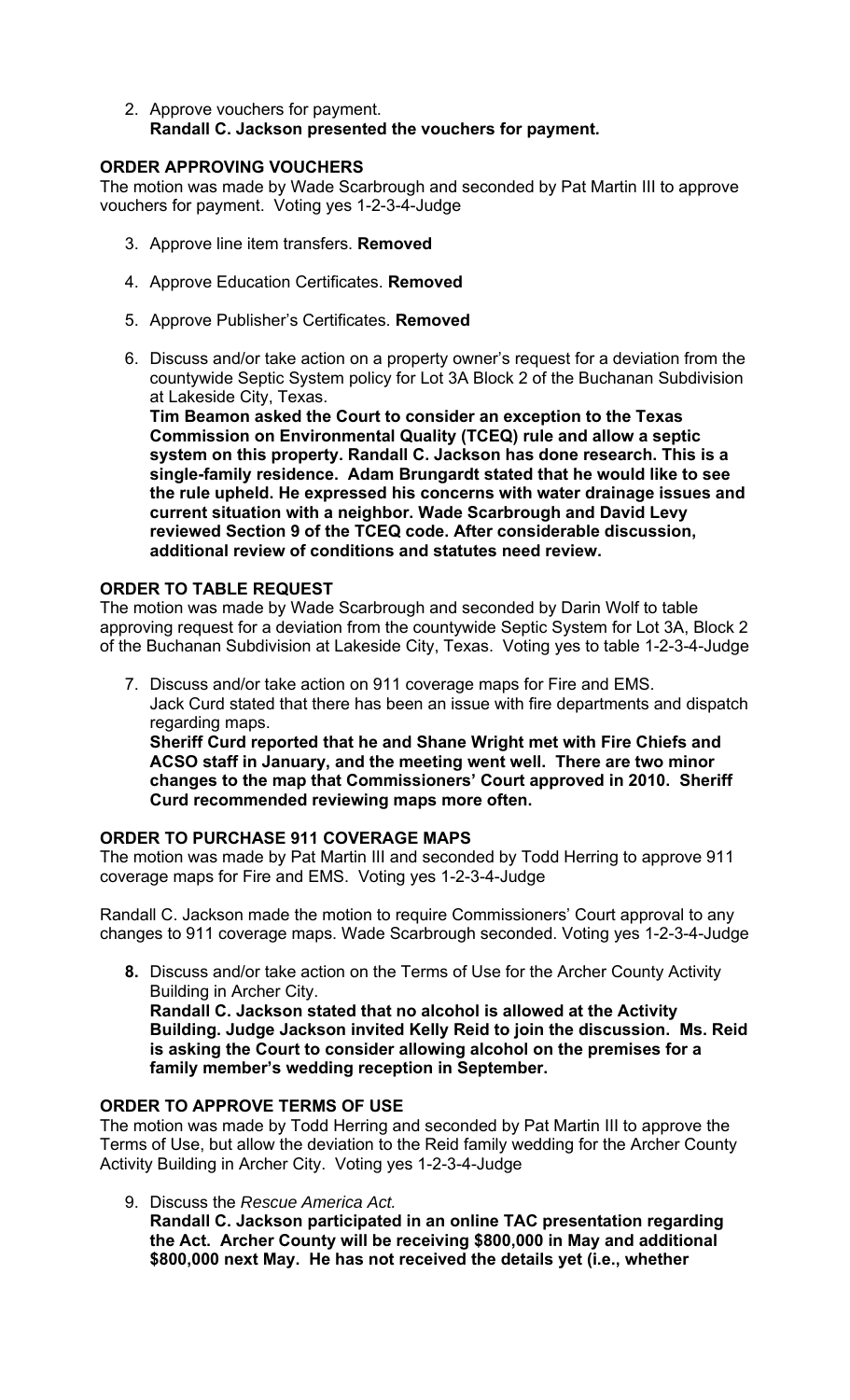2. Approve vouchers for payment. **Randall C. Jackson presented the vouchers for payment.** 

# **ORDER APPROVING VOUCHERS**

The motion was made by Wade Scarbrough and seconded by Pat Martin III to approve vouchers for payment. Voting yes 1-2-3-4-Judge

- 3. Approve line item transfers. **Removed**
- 4. Approve Education Certificates. **Removed**
- 5. Approve Publisher's Certificates. **Removed**
- 6. Discuss and/or take action on a property owner's request for a deviation from the countywide Septic System policy for Lot 3A Block 2 of the Buchanan Subdivision at Lakeside City, Texas.

**Tim Beamon asked the Court to consider an exception to the Texas Commission on Environmental Quality (TCEQ) rule and allow a septic system on this property. Randall C. Jackson has done research. This is a single-family residence. Adam Brungardt stated that he would like to see the rule upheld. He expressed his concerns with water drainage issues and current situation with a neighbor. Wade Scarbrough and David Levy reviewed Section 9 of the TCEQ code. After considerable discussion, additional review of conditions and statutes need review.**

## **ORDER TO TABLE REQUEST**

The motion was made by Wade Scarbrough and seconded by Darin Wolf to table approving request for a deviation from the countywide Septic System for Lot 3A, Block 2 of the Buchanan Subdivision at Lakeside City, Texas. Voting yes to table 1-2-3-4-Judge

7. Discuss and/or take action on 911 coverage maps for Fire and EMS. Jack Curd stated that there has been an issue with fire departments and dispatch regarding maps.

**Sheriff Curd reported that he and Shane Wright met with Fire Chiefs and ACSO staff in January, and the meeting went well. There are two minor changes to the map that Commissioners' Court approved in 2010. Sheriff Curd recommended reviewing maps more often.**

# **ORDER TO PURCHASE 911 COVERAGE MAPS**

The motion was made by Pat Martin III and seconded by Todd Herring to approve 911 coverage maps for Fire and EMS. Voting yes 1-2-3-4-Judge

Randall C. Jackson made the motion to require Commissioners' Court approval to any changes to 911 coverage maps. Wade Scarbrough seconded. Voting yes 1-2-3-4-Judge

**8.** Discuss and/or take action on the Terms of Use for the Archer County Activity Building in Archer City. **Randall C. Jackson stated that no alcohol is allowed at the Activity** 

**Building. Judge Jackson invited Kelly Reid to join the discussion. Ms. Reid is asking the Court to consider allowing alcohol on the premises for a family member's wedding reception in September.** 

#### **ORDER TO APPROVE TERMS OF USE**

The motion was made by Todd Herring and seconded by Pat Martin III to approve the Terms of Use, but allow the deviation to the Reid family wedding for the Archer County Activity Building in Archer City. Voting yes 1-2-3-4-Judge

9. Discuss the *Rescue America Act.*

**Randall C. Jackson participated in an online TAC presentation regarding the Act. Archer County will be receiving \$800,000 in May and additional \$800,000 next May. He has not received the details yet (i.e., whether**